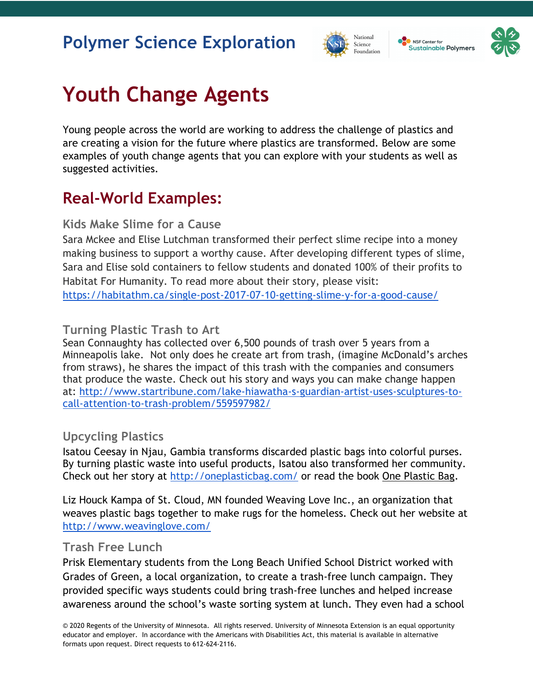## **Polymer Science Exploration**





# **Youth Change Agents**

Young people across the world are working to address the challenge of plastics and are creating a vision for the future where plastics are transformed. Below are some examples of youth change agents that you can explore with your students as well as suggested activities.

## **Real-World Examples:**

#### **Kids Make Slime for a Cause**

Sara Mckee and Elise Lutchman transformed their perfect slime recipe into a money making business to support a worthy cause. After developing different types of slime, Sara and Elise sold containers to fellow students and donated 100% of their profits to Habitat For Humanity. To read more about their story, please visit: https://habitathm.ca/single-post-2017-07-10-getting-slime-y-for-a-good-cause/

#### **Turning Plastic Trash to Art**

Sean Connaughty has collected over 6,500 pounds of trash over 5 years from a Minneapolis lake. Not only does he create art from trash, (imagine McDonald's arches from straws), he shares the impact of this trash with the companies and consumers that produce the waste. Check out his story and ways you can make change happen at: http://www.startribune.com/lake-hiawatha-s-guardian-artist-uses-sculptures-tocall-attention-to-trash-problem/559597982/

#### **Upcycling Plastics**

Isatou Ceesay in Njau, Gambia transforms discarded plastic bags into colorful purses. By turning plastic waste into useful products, Isatou also transformed her community. Check out her story at http://oneplasticbag.com/ or read the book One Plastic Bag.

Liz Houck Kampa of St. Cloud, MN founded Weaving Love Inc., an organization that weaves plastic bags together to make rugs for the homeless. Check out her website at http://www.weavinglove.com/

#### **Trash Free Lunch**

Prisk Elementary students from the Long Beach Unified School District worked with Grades of Green, a local organization, to create a trash-free lunch campaign. They provided specific ways students could bring trash-free lunches and helped increase awareness around the school's waste sorting system at lunch. They even had a school

© 2020 Regents of the University of Minnesota. All rights reserved. University of Minnesota Extension is an equal opportunity educator and employer. In accordance with the Americans with Disabilities Act, this material is available in alternative formats upon request. Direct requests to 612-624-2116.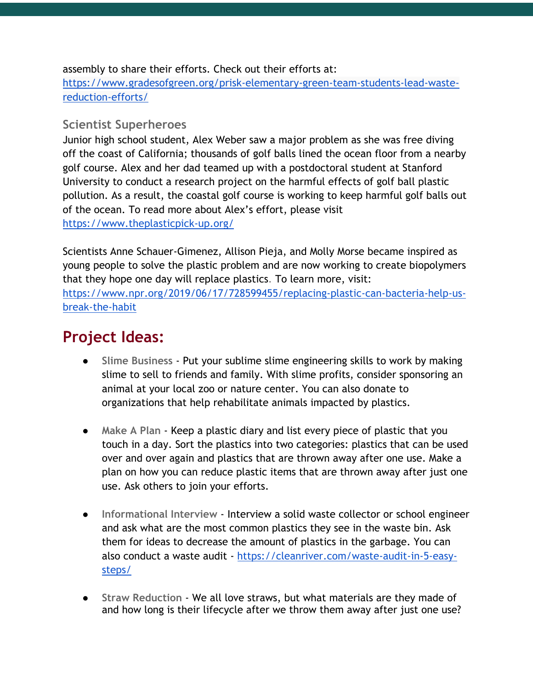assembly to share their efforts. Check out their efforts at:

https://www.gradesofgreen.org/prisk-elementary-green-team-students-lead-wastereduction-efforts/

#### **Scientist Superheroes**

Junior high school student, Alex Weber saw a major problem as she was free diving off the coast of California; thousands of golf balls lined the ocean floor from a nearby golf course. Alex and her dad teamed up with a postdoctoral student at Stanford University to conduct a research project on the harmful effects of golf ball plastic pollution. As a result, the coastal golf course is working to keep harmful golf balls out of the ocean. To read more about Alex's effort, please visit https://www.theplasticpick-up.org/

Scientists Anne Schauer-Gimenez, Allison Pieja, and Molly Morse became inspired as young people to solve the plastic problem and are now working to create biopolymers that they hope one day will replace plastics. To learn more, visit: https://www.npr.org/2019/06/17/728599455/replacing-plastic-can-bacteria-help-usbreak-the-habit

### **Project Ideas:**

- **Slime Business** Put your sublime slime engineering skills to work by making slime to sell to friends and family. With slime profits, consider sponsoring an animal at your local zoo or nature center. You can also donate to organizations that help rehabilitate animals impacted by plastics.
- **Make A Plan** Keep a plastic diary and list every piece of plastic that you touch in a day. Sort the plastics into two categories: plastics that can be used over and over again and plastics that are thrown away after one use. Make a plan on how you can reduce plastic items that are thrown away after just one use. Ask others to join your efforts.
- **Informational Interview Interview a solid waste collector or school engineer** and ask what are the most common plastics they see in the waste bin. Ask them for ideas to decrease the amount of plastics in the garbage. You can also conduct a waste audit - https://cleanriver.com/waste-audit-in-5-easysteps/
- Straw Reduction We all love straws, but what materials are they made of and how long is their lifecycle after we throw them away after just one use?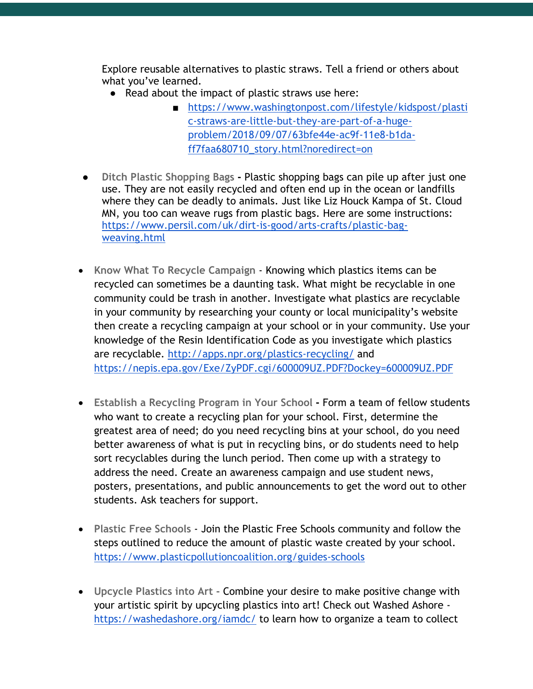Explore reusable alternatives to plastic straws. Tell a friend or others about what you've learned.

- Read about the impact of plastic straws use here:
	- https://www.washingtonpost.com/lifestyle/kidspost/plasti c-straws-are-little-but-they-are-part-of-a-hugeproblem/2018/09/07/63bfe44e-ac9f-11e8-b1daff7faa680710\_story.html?noredirect=on
- **Ditch Plastic Shopping Bags -** Plastic shopping bags can pile up after just one use. They are not easily recycled and often end up in the ocean or landfills where they can be deadly to animals. Just like Liz Houck Kampa of St. Cloud MN, you too can weave rugs from plastic bags. Here are some instructions: https://www.persil.com/uk/dirt-is-good/arts-crafts/plastic-bagweaving.html
- **Know What To Recycle Campaign** Knowing which plastics items can be recycled can sometimes be a daunting task. What might be recyclable in one community could be trash in another. Investigate what plastics are recyclable in your community by researching your county or local municipality's website then create a recycling campaign at your school or in your community. Use your knowledge of the Resin Identification Code as you investigate which plastics are recyclable. http://apps.npr.org/plastics-recycling/ and https://nepis.epa.gov/Exe/ZyPDF.cgi/600009UZ.PDF?Dockey=600009UZ.PDF
- **Establish a Recycling Program in Your School -** Form a team of fellow students who want to create a recycling plan for your school. First, determine the greatest area of need; do you need recycling bins at your school, do you need better awareness of what is put in recycling bins, or do students need to help sort recyclables during the lunch period. Then come up with a strategy to address the need. Create an awareness campaign and use student news, posters, presentations, and public announcements to get the word out to other students. Ask teachers for support.
- **Plastic Free Schools** Join the Plastic Free Schools community and follow the steps outlined to reduce the amount of plastic waste created by your school. https://www.plasticpollutioncoalition.org/guides-schools
- **Upcycle Plastics into Art -** Combine your desire to make positive change with your artistic spirit by upcycling plastics into art! Check out Washed Ashore https://washedashore.org/iamdc/ to learn how to organize a team to collect